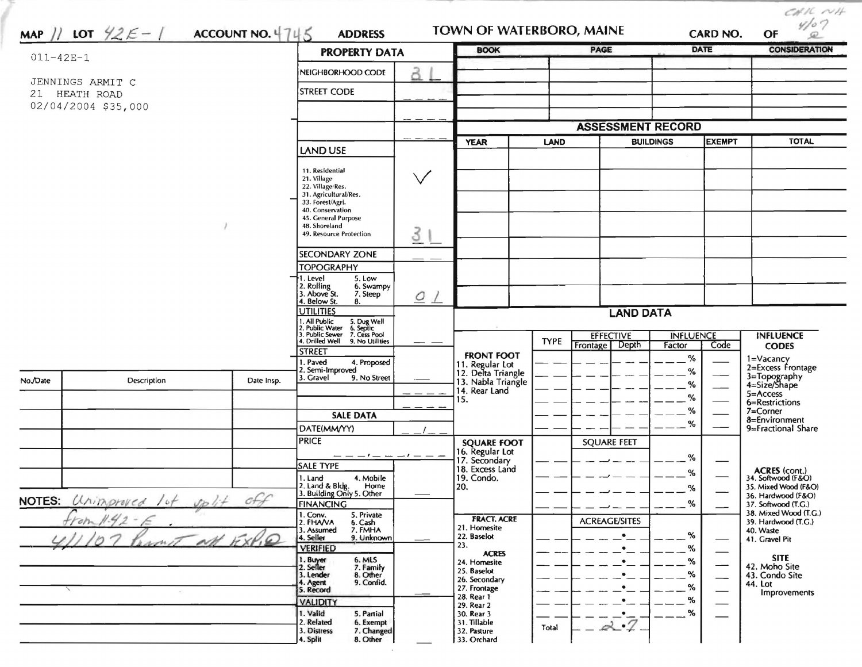|                                                                     |                     |                 | <b>PROPERTY DATA</b>                                          |             | <b>BOOK</b>                           |                          | PAGE                                 |               | <b>DATE</b>  | <b>CONSIDERATION</b>                         |
|---------------------------------------------------------------------|---------------------|-----------------|---------------------------------------------------------------|-------------|---------------------------------------|--------------------------|--------------------------------------|---------------|--------------|----------------------------------------------|
| $011 - 42E - 1$                                                     |                     |                 | NEIGHBORHOOD CODE                                             |             |                                       |                          |                                      |               |              |                                              |
|                                                                     | JENNINGS ARMIT C    |                 |                                                               | 2           |                                       |                          |                                      |               |              |                                              |
| 21 HEATH ROAD                                                       |                     |                 | <b>STREET CODE</b>                                            |             |                                       |                          |                                      |               |              |                                              |
|                                                                     | 02/04/2004 \$35,000 |                 |                                                               |             |                                       |                          |                                      |               |              |                                              |
|                                                                     |                     |                 |                                                               |             |                                       |                          | <b>ASSESSMENT RECORD</b>             |               |              |                                              |
|                                                                     |                     | <b>LAND USE</b> |                                                               | <b>YEAR</b> |                                       | <b>BUILDINGS</b><br>LAND |                                      | <b>EXEMPT</b> | <b>TOTAL</b> |                                              |
|                                                                     |                     |                 |                                                               |             |                                       |                          |                                      |               |              |                                              |
|                                                                     |                     |                 | 11. Residential<br>21. Village                                |             |                                       |                          |                                      |               |              |                                              |
|                                                                     |                     |                 | 22. Village Res.<br>31. Agricultural/Res.                     |             |                                       |                          |                                      |               |              |                                              |
|                                                                     |                     |                 | 33. Forest/Agri.<br>40. Conservation                          |             |                                       |                          |                                      |               |              |                                              |
|                                                                     |                     |                 | 45. General Purpose<br>48. Shoreland                          |             |                                       |                          |                                      |               |              |                                              |
|                                                                     |                     |                 | 49. Resource Protection                                       | 3           |                                       |                          |                                      |               |              |                                              |
|                                                                     |                     |                 | SECONDARY ZONE                                                |             |                                       |                          |                                      |               |              |                                              |
|                                                                     |                     |                 | <b>TOPOGRAPHY</b>                                             |             |                                       |                          |                                      |               |              |                                              |
|                                                                     |                     |                 | 1. Level<br>5. Low<br>2. Rolling<br>3. Above St.<br>6. Swampy |             |                                       |                          |                                      |               |              |                                              |
|                                                                     |                     |                 | 7. Steep<br>4. Below St.<br>8.                                | $Q$ $\perp$ |                                       |                          |                                      |               |              |                                              |
|                                                                     |                     |                 | <b>UTILITIES</b><br>1. All Public<br>2. Public Water          |             | <b>LAND DATA</b>                      |                          |                                      |               |              |                                              |
|                                                                     |                     |                 | 5. Dug Well<br>6. Septic<br>7. Cess Pool<br>3. Public Sewer   |             |                                       |                          | <b>EFFECTIVE</b><br><b>INFLUENCE</b> |               |              | <b>INFLUENCE</b>                             |
|                                                                     |                     |                 | 4. Drilled Well<br>9. No Utilities<br><b>STREET</b>           |             | <b>FRONT FOOT</b>                     | <b>TYPE</b>              | Frontage Depth                       | Factor        | Code         | <b>CODES</b>                                 |
|                                                                     |                     |                 | . Paved<br>4. Proposed<br>2. Semi-Improved                    |             | 11. Regular Lot<br>12. Delta Triangle |                          |                                      | %             |              | 1=Vacancy<br>2=Excess Frontage               |
| No./Date                                                            | Description         | Date Insp.      | 3. Gravel<br>9. No Street                                     |             | 13. Nabla Triangle                    |                          |                                      | %<br>$\%$     |              | 3=Topography<br>4=Size/Shape                 |
|                                                                     |                     |                 |                                                               |             | 14. Rear Land<br>15.                  |                          |                                      | %             |              | 5=Access<br>6=Restrictions                   |
|                                                                     |                     |                 | <b>SALE DATA</b>                                              |             |                                       |                          |                                      | %             |              | $7 = Correct$ Corner                         |
|                                                                     |                     |                 | DATE(MM/YY)                                                   |             |                                       |                          |                                      | %             |              | 8=Environment<br>9=Fractional Share          |
|                                                                     |                     |                 | <b>PRICE</b>                                                  |             | <b>SQUARE FOOT</b>                    |                          | <b>SQUARE FEET</b>                   |               |              |                                              |
|                                                                     |                     |                 |                                                               |             | 16. Regular Lot<br>17. Secondary      |                          |                                      | %             |              |                                              |
|                                                                     |                     |                 | <b>SALE TYPE</b><br>4. Mobile<br>1. Land                      |             | 18. Excess Land<br>19. Condo.         |                          |                                      | $\%$          |              | ACRES (cont.)<br>34. Softwood (F&O)          |
|                                                                     |                     |                 | 2. Land & Bldg. Home<br>3. Building Only 5. Other<br>Home     |             | 20.                                   |                          |                                      | %             |              | 35. Mixed Wood (F&O)                         |
| NOTES: Unimproved lot split off<br>$from 1.42 - E$<br>want of EXPID |                     |                 | <b>FINANCING</b>                                              |             |                                       |                          |                                      | %             |              | 36. Hardwood (F&O)<br>37. Softwood (T.G.)    |
|                                                                     |                     |                 | 1. Conv.<br>5. Private<br>2. FHAVA<br>6. Cash                 |             | <b>FRACT. ACRE</b>                    |                          | <b>ACREAGE/SITES</b>                 |               |              | 38. Mixed Wood (T.G.)<br>39. Hardwood (T.G.) |
|                                                                     |                     |                 | 7. FMHA<br>3. Assumed<br>9. Unknown<br>4. Seller              |             | 21. Homesite<br>22. Baselot           |                          | $\bullet$                            | %             |              | 40. Waste<br>41. Gravel Pit                  |
|                                                                     |                     |                 | <b>VERIFIED</b>                                               |             | 23.<br><b>ACRES</b>                   |                          |                                      | $\%$          |              |                                              |
|                                                                     |                     |                 | 6. MLS<br>1. Buyer<br>2. Seller<br>7. Family                  |             | 24. Homesite<br>25. Baselot           |                          | ٠                                    | %             |              | <b>SITE</b><br>42. Moho Site                 |
|                                                                     |                     |                 | 8. Other<br>3. Lender<br>9. Confid.<br>4. Agent               |             | 26. Secondary                         |                          |                                      | %<br>%        |              | 43. Condo Site<br>44. Lot                    |
|                                                                     |                     |                 | 5. Record<br><b>VALIDITY</b>                                  |             | 27. Frontage<br>28. Rear 1            |                          | $\bullet$                            | $\%$          |              | Improvements                                 |
|                                                                     |                     |                 | 1. Valid<br>5. Partial                                        |             | 29. Rear 2<br>30. Rear 3              |                          | $\bullet$                            | %             |              |                                              |
|                                                                     |                     |                 | 2. Related<br>6. Exempt<br>3. Distress<br>7. Changed          |             | 31. Tillable<br>32. Pasture           | Total                    | 2.7                                  |               |              |                                              |
|                                                                     |                     |                 | 8. Other<br>4. Split                                          |             | 33. Orchard                           |                          |                                      |               |              |                                              |

 $-1$ 

CAIL NH